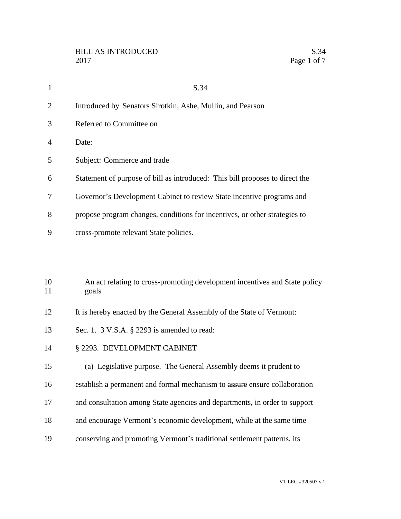| $\mathbf{1}$ | S.34                                                                                |
|--------------|-------------------------------------------------------------------------------------|
| 2            | Introduced by Senators Sirotkin, Ashe, Mullin, and Pearson                          |
| 3            | Referred to Committee on                                                            |
| 4            | Date:                                                                               |
| 5            | Subject: Commerce and trade                                                         |
| 6            | Statement of purpose of bill as introduced: This bill proposes to direct the        |
| 7            | Governor's Development Cabinet to review State incentive programs and               |
| 8            | propose program changes, conditions for incentives, or other strategies to          |
| 9            | cross-promote relevant State policies.                                              |
|              |                                                                                     |
|              |                                                                                     |
| 10<br>11     | An act relating to cross-promoting development incentives and State policy<br>goals |
| 12           | It is hereby enacted by the General Assembly of the State of Vermont:               |
| 13           | Sec. 1. 3 V.S.A. § 2293 is amended to read:                                         |

- § 2293. DEVELOPMENT CABINET
- (a) Legislative purpose. The General Assembly deems it prudent to
- 16 establish a permanent and formal mechanism to assure ensure collaboration
- and consultation among State agencies and departments, in order to support
- and encourage Vermont's economic development, while at the same time
- conserving and promoting Vermont's traditional settlement patterns, its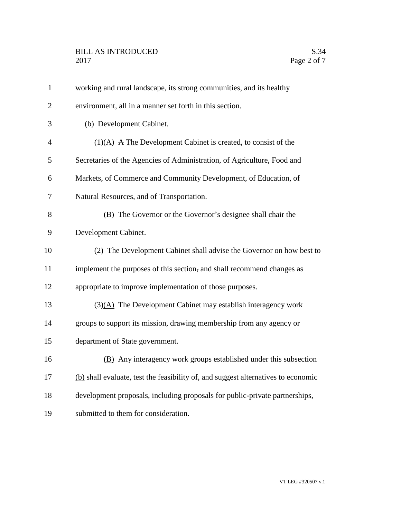| $\mathbf{1}$   | working and rural landscape, its strong communities, and its healthy              |
|----------------|-----------------------------------------------------------------------------------|
| $\overline{2}$ | environment, all in a manner set forth in this section.                           |
| 3              | (b) Development Cabinet.                                                          |
| $\overline{4}$ | $(1)(A)$ A The Development Cabinet is created, to consist of the                  |
| 5              | Secretaries of the Agencies of Administration, of Agriculture, Food and           |
| 6              | Markets, of Commerce and Community Development, of Education, of                  |
| 7              | Natural Resources, and of Transportation.                                         |
| 8              | (B) The Governor or the Governor's designee shall chair the                       |
| 9              | Development Cabinet.                                                              |
| 10             | (2) The Development Cabinet shall advise the Governor on how best to              |
| 11             | implement the purposes of this section, and shall recommend changes as            |
| 12             | appropriate to improve implementation of those purposes.                          |
| 13             | (3)(A) The Development Cabinet may establish interagency work                     |
| 14             | groups to support its mission, drawing membership from any agency or              |
| 15             | department of State government.                                                   |
| 16             | (B) Any interagency work groups established under this subsection                 |
| 17             | (b) shall evaluate, test the feasibility of, and suggest alternatives to economic |
| 18             | development proposals, including proposals for public-private partnerships,       |
| 19             | submitted to them for consideration.                                              |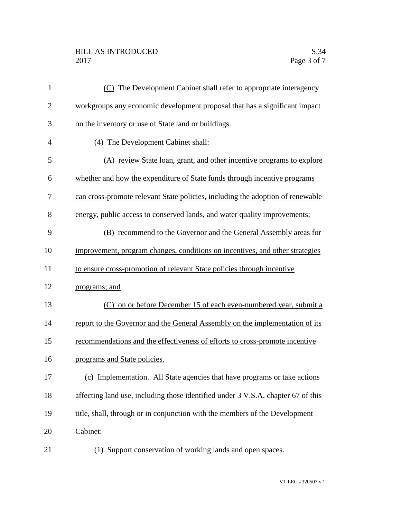## BILL AS INTRODUCED S.34 Page 3 of 7

| $\mathbf{1}$   | (C) The Development Cabinet shall refer to appropriate interagency                         |
|----------------|--------------------------------------------------------------------------------------------|
| $\overline{2}$ | workgroups any economic development proposal that has a significant impact                 |
| 3              | on the inventory or use of State land or buildings.                                        |
| 4              | (4) The Development Cabinet shall:                                                         |
| 5              | (A) review State loan, grant, and other incentive programs to explore                      |
| 6              | whether and how the expenditure of State funds through incentive programs                  |
| 7              | can cross-promote relevant State policies, including the adoption of renewable             |
| 8              | energy, public access to conserved lands, and water quality improvements;                  |
| 9              | (B) recommend to the Governor and the General Assembly areas for                           |
| 10             | improvement, program changes, conditions on incentives, and other strategies               |
| 11             | to ensure cross-promotion of relevant State policies through incentive                     |
| 12             | programs; and                                                                              |
| 13             | (C) on or before December 15 of each even-numbered year, submit a                          |
| 14             | report to the Governor and the General Assembly on the implementation of its               |
| 15             | recommendations and the effectiveness of efforts to cross-promote incentive                |
| 16             | programs and State policies.                                                               |
| 17             | (c) Implementation. All State agencies that have programs or take actions                  |
| 18             | affecting land use, including those identified under $3 \text{ V.S.A.}$ chapter 67 of this |
| 19             | title, shall, through or in conjunction with the members of the Development                |
| 20             | Cabinet:                                                                                   |
| 21             | (1) Support conservation of working lands and open spaces.                                 |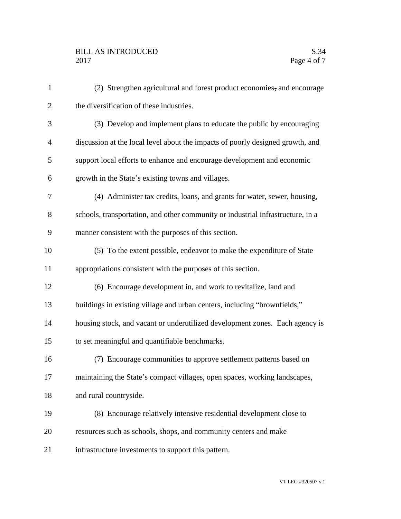| $\mathbf{1}$   | (2) Strengthen agricultural and forest product economies, and encourage         |
|----------------|---------------------------------------------------------------------------------|
| $\overline{2}$ | the diversification of these industries.                                        |
| 3              | (3) Develop and implement plans to educate the public by encouraging            |
| 4              | discussion at the local level about the impacts of poorly designed growth, and  |
| 5              | support local efforts to enhance and encourage development and economic         |
| 6              | growth in the State's existing towns and villages.                              |
| 7              | (4) Administer tax credits, loans, and grants for water, sewer, housing,        |
| 8              | schools, transportation, and other community or industrial infrastructure, in a |
| 9              | manner consistent with the purposes of this section.                            |
| 10             | (5) To the extent possible, endeavor to make the expenditure of State           |
| 11             | appropriations consistent with the purposes of this section.                    |
| 12             | (6) Encourage development in, and work to revitalize, land and                  |
| 13             | buildings in existing village and urban centers, including "brownfields,"       |
| 14             | housing stock, and vacant or underutilized development zones. Each agency is    |
| 15             | to set meaningful and quantifiable benchmarks.                                  |
| 16             | (7) Encourage communities to approve settlement patterns based on               |
| 17             | maintaining the State's compact villages, open spaces, working landscapes,      |
| 18             | and rural countryside.                                                          |
| 19             | (8) Encourage relatively intensive residential development close to             |
| 20             | resources such as schools, shops, and community centers and make                |
| 21             | infrastructure investments to support this pattern.                             |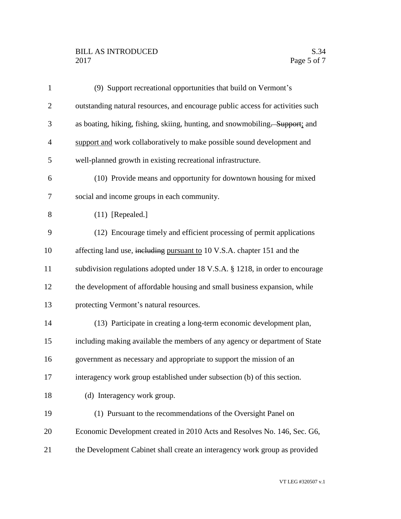## BILL AS INTRODUCED S.34 Page 5 of 7

| $\mathbf{1}$   | (9) Support recreational opportunities that build on Vermont's                 |
|----------------|--------------------------------------------------------------------------------|
| $\overline{2}$ | outstanding natural resources, and encourage public access for activities such |
| 3              | as boating, hiking, fishing, skiing, hunting, and snowmobiling. Support; and   |
| $\overline{4}$ | support and work collaboratively to make possible sound development and        |
| 5              | well-planned growth in existing recreational infrastructure.                   |
| 6              | (10) Provide means and opportunity for downtown housing for mixed              |
| 7              | social and income groups in each community.                                    |
| 8              | $(11)$ [Repealed.]                                                             |
| 9              | (12) Encourage timely and efficient processing of permit applications          |
| 10             | affecting land use, including pursuant to 10 V.S.A. chapter 151 and the        |
| 11             | subdivision regulations adopted under 18 V.S.A. § 1218, in order to encourage  |
| 12             | the development of affordable housing and small business expansion, while      |
| 13             | protecting Vermont's natural resources.                                        |
| 14             | (13) Participate in creating a long-term economic development plan,            |
| 15             | including making available the members of any agency or department of State    |
| 16             | government as necessary and appropriate to support the mission of an           |
| 17             | interagency work group established under subsection (b) of this section.       |
| 18             | (d) Interagency work group.                                                    |
| 19             | (1) Pursuant to the recommendations of the Oversight Panel on                  |
| 20             | Economic Development created in 2010 Acts and Resolves No. 146, Sec. G6,       |
| 21             | the Development Cabinet shall create an interagency work group as provided     |
|                |                                                                                |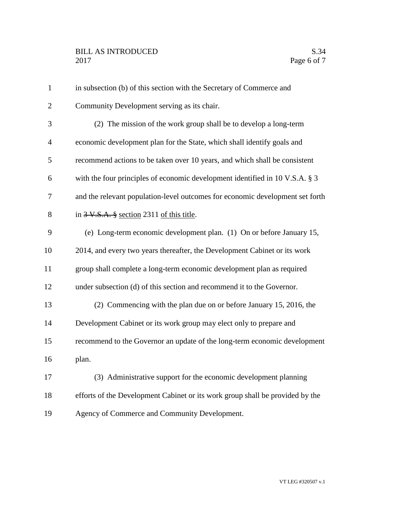| $\mathbf{1}$   | in subsection (b) of this section with the Secretary of Commerce and          |
|----------------|-------------------------------------------------------------------------------|
| $\overline{2}$ | Community Development serving as its chair.                                   |
| 3              | (2) The mission of the work group shall be to develop a long-term             |
| $\overline{4}$ | economic development plan for the State, which shall identify goals and       |
| 5              | recommend actions to be taken over 10 years, and which shall be consistent    |
| 6              | with the four principles of economic development identified in 10 V.S.A. § 3  |
| 7              | and the relevant population-level outcomes for economic development set forth |
| 8              | in $3 \text{ V.S.A.}$ § section 2311 of this title.                           |
| 9              | (e) Long-term economic development plan. (1) On or before January 15,         |
| 10             | 2014, and every two years thereafter, the Development Cabinet or its work     |
| 11             | group shall complete a long-term economic development plan as required        |
| 12             | under subsection (d) of this section and recommend it to the Governor.        |
| 13             | (2) Commencing with the plan due on or before January 15, 2016, the           |
| 14             | Development Cabinet or its work group may elect only to prepare and           |
| 15             | recommend to the Governor an update of the long-term economic development     |
| 16             | plan.                                                                         |
| 17             | (3) Administrative support for the economic development planning              |
| 18             | efforts of the Development Cabinet or its work group shall be provided by the |
| 19             | Agency of Commerce and Community Development.                                 |